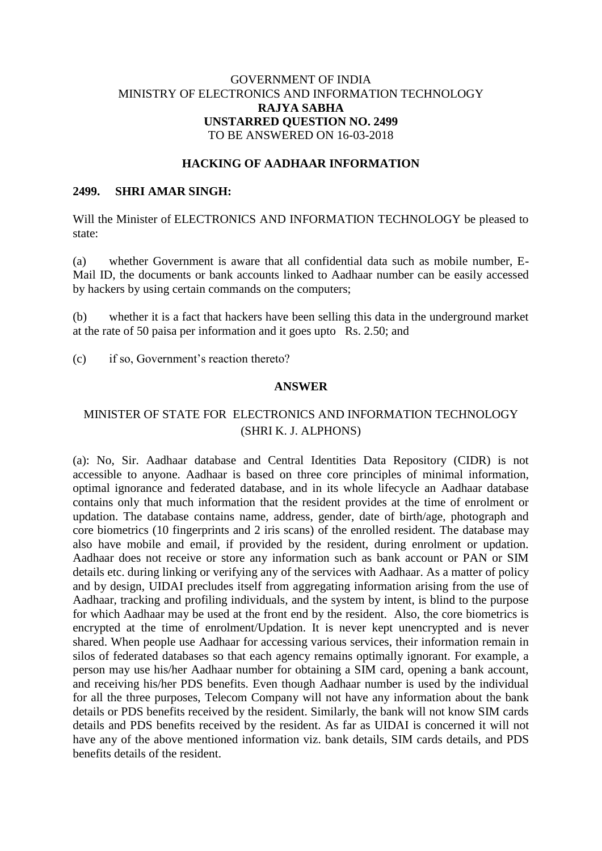## GOVERNMENT OF INDIA MINISTRY OF ELECTRONICS AND INFORMATION TECHNOLOGY **RAJYA SABHA UNSTARRED QUESTION NO. 2499** TO BE ANSWERED ON 16-03-2018

### **HACKING OF AADHAAR INFORMATION**

#### **2499. SHRI AMAR SINGH:**

Will the Minister of ELECTRONICS AND INFORMATION TECHNOLOGY be pleased to state:

(a) whether Government is aware that all confidential data such as mobile number, E-Mail ID, the documents or bank accounts linked to Aadhaar number can be easily accessed by hackers by using certain commands on the computers;

(b) whether it is a fact that hackers have been selling this data in the underground market at the rate of 50 paisa per information and it goes upto Rs. 2.50; and

(c) if so, Government's reaction thereto?

#### **ANSWER**

# MINISTER OF STATE FOR ELECTRONICS AND INFORMATION TECHNOLOGY (SHRI K. J. ALPHONS)

(a): No, Sir. Aadhaar database and Central Identities Data Repository (CIDR) is not accessible to anyone. Aadhaar is based on three core principles of minimal information, optimal ignorance and federated database, and in its whole lifecycle an Aadhaar database contains only that much information that the resident provides at the time of enrolment or updation. The database contains name, address, gender, date of birth/age, photograph and core biometrics (10 fingerprints and 2 iris scans) of the enrolled resident. The database may also have mobile and email, if provided by the resident, during enrolment or updation. Aadhaar does not receive or store any information such as bank account or PAN or SIM details etc. during linking or verifying any of the services with Aadhaar. As a matter of policy and by design, UIDAI precludes itself from aggregating information arising from the use of Aadhaar, tracking and profiling individuals, and the system by intent, is blind to the purpose for which Aadhaar may be used at the front end by the resident. Also, the core biometrics is encrypted at the time of enrolment/Updation. It is never kept unencrypted and is never shared. When people use Aadhaar for accessing various services, their information remain in silos of federated databases so that each agency remains optimally ignorant. For example, a person may use his/her Aadhaar number for obtaining a SIM card, opening a bank account, and receiving his/her PDS benefits. Even though Aadhaar number is used by the individual for all the three purposes, Telecom Company will not have any information about the bank details or PDS benefits received by the resident. Similarly, the bank will not know SIM cards details and PDS benefits received by the resident. As far as UIDAI is concerned it will not have any of the above mentioned information viz. bank details, SIM cards details, and PDS benefits details of the resident.